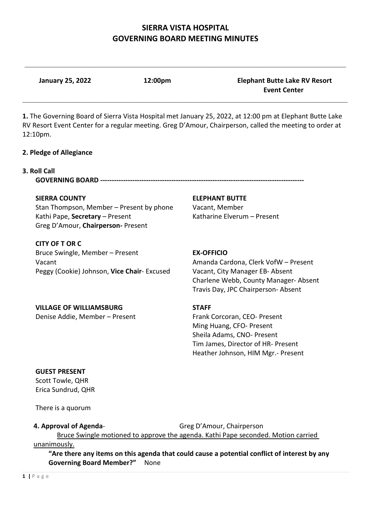$\_$ 

**January 25, 2022 12:00pm Elephant Butte Lake RV Resort Event Center**

**1.** The Governing Board of Sierra Vista Hospital met January 25, 2022, at 12:00 pm at Elephant Butte Lake RV Resort Event Center for a regular meeting. Greg D'Amour, Chairperson, called the meeting to order at 12:10pm.

\_\_\_\_\_\_\_\_\_\_\_\_\_\_\_\_\_\_\_\_\_\_\_\_\_\_\_\_\_\_\_\_\_\_\_\_\_\_\_\_\_\_\_\_\_\_\_\_\_\_\_\_\_\_\_\_\_\_\_\_\_\_\_\_\_\_\_\_\_\_\_\_\_\_\_\_\_\_\_\_\_\_\_\_\_\_\_

#### **2. Pledge of Allegiance**

#### **3. Roll Call**

**GOVERNING BOARD -------------------**

#### **SIERRA COUNTY ELEPHANT BUTTE**

Stan Thompson, Member – Present by phone Vacant, Member Kathi Pape, **Secretary** – Present Katharine Elverum – Present Greg D'Amour, **Chairperson-** Present

**CITY OF T OR C**  Bruce Swingle, Member – Present **EX-OFFICIO** Vacant **Amanda Cardona, Clerk VofW** – Present Peggy (Cookie) Johnson, **Vice Chair**- Excused Vacant, City Manager EB- Absent

 Charlene Webb, County Manager- Absent Travis Day, JPC Chairperson- Absent

#### **VILLAGE OF WILLIAMSBURG STAFF** Denise Addie, Member – PresentFrank Corcoran, CEO- Present

 Ming Huang, CFO- Present Sheila Adams, CNO- Present Tim James, Director of HR- Present Heather Johnson, HIM Mgr.- Present

## **GUEST PRESENT**

Scott Towle, QHR Erica Sundrud, QHR

There is a quorum

#### **4. Approval of Agenda-** Greg D'Amour, Chairperson

Bruce Swingle motioned to approve the agenda. Kathi Pape seconded. Motion carried

unanimously.

**"Are there any items on this agenda that could cause a potential conflict of interest by any Governing Board Member?"** None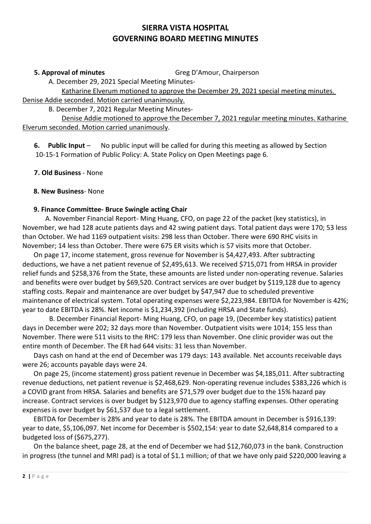**5. Approval of minutes** Greg D'Amour, Chairperson

A. December 29, 2021 Special Meeting Minutes-

 Katharine Elverum motioned to approve the December 29, 2021 special meeting minutes. Denise Addie seconded. Motion carried unanimously.

B. December 7, 2021 Regular Meeting Minutes-

 Denise Addie motioned to approve the December 7, 2021 regular meeting minutes. Katharine Elverum seconded. Motion carried unanimously.

 **6. Public Input** – No public input will be called for during this meeting as allowed by Section 10-15-1 Formation of Public Policy: A. State Policy on Open Meetings page 6.

**7. Old Business** - None

## **8. New Business**- None

# **9. Finance Committee- Bruce Swingle acting Chair**

 A. November Financial Report- Ming Huang, CFO, on page 22 of the packet (key statistics), in November, we had 128 acute patients days and 42 swing patient days. Total patient days were 170; 53 less than October. We had 1169 outpatient visits: 298 less than October. There were 690 RHC visits in November; 14 less than October. There were 675 ER visits which is 57 visits more that October.

On page 17, income statement, gross revenue for November is \$4,427,493. After subtracting deductions, we have a net patient revenue of \$2,495,613. We received \$715,071 from HRSA in provider relief funds and \$258,376 from the State, these amounts are listed under non-operating revenue. Salaries and benefits were over budget by \$69,520. Contract services are over budget by \$119,128 due to agency staffing costs. Repair and maintenance are over budget by \$47,947 due to scheduled preventive maintenance of electrical system. Total operating expenses were \$2,223,984. EBITDA for November is 42%; year to date EBITDA is 28%. Net income is \$1,234,392 (including HRSA and State funds).

 B. December Financial Report- Ming Huang, CFO, on page 19, (December key statistics) patient days in December were 202; 32 days more than November. Outpatient visits were 1014; 155 less than November. There were 511 visits to the RHC: 179 less than November. One clinic provider was out the entire month of December. The ER had 644 visits: 31 less than November.

Days cash on hand at the end of December was 179 days: 143 available. Net accounts receivable days were 26; accounts payable days were 24.

On page 25, (income statement) gross patient revenue in December was \$4,185,011. After subtracting revenue deductions, net patient revenue is \$2,468,629. Non-operating revenue includes \$383,226 which is a COVID grant from HRSA. Salaries and benefits are \$71,579 over budget due to the 15% hazard pay increase. Contract services is over budget by \$123,970 due to agency staffing expenses. Other operating expenses is over budget by \$61,537 due to a legal settlement.

EBITDA for December is 28% and year to date is 28%. The EBITDA amount in December is \$916,139: year to date, \$5,106,097. Net income for December is \$502,154: year to date \$2,648,814 compared to a budgeted loss of (\$675,277).

On the balance sheet, page 28, at the end of December we had \$12,760,073 in the bank. Construction in progress (the tunnel and MRI pad) is a total of \$1.1 million; of that we have only paid \$220,000 leaving a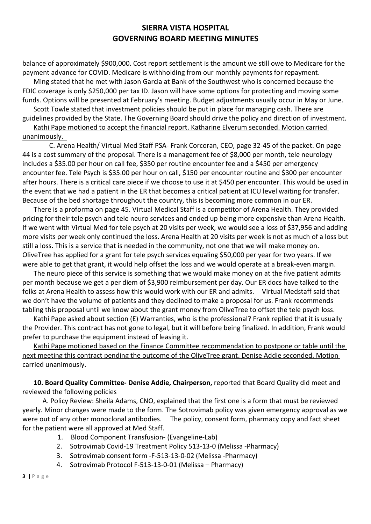balance of approximately \$900,000. Cost report settlement is the amount we still owe to Medicare for the payment advance for COVID. Medicare is withholding from our monthly payments for repayment.

Ming stated that he met with Jason Garcia at Bank of the Southwest who is concerned because the FDIC coverage is only \$250,000 per tax ID. Jason will have some options for protecting and moving some funds. Options will be presented at February's meeting. Budget adjustments usually occur in May or June.

Scott Towle stated that investment policies should be put in place for managing cash. There are guidelines provided by the State. The Governing Board should drive the policy and direction of investment.

Kathi Pape motioned to accept the financial report. Katharine Elverum seconded. Motion carried unanimously.

 C. Arena Health/ Virtual Med Staff PSA- Frank Corcoran, CEO, page 32-45 of the packet. On page 44 is a cost summary of the proposal. There is a management fee of \$8,000 per month, tele neurology includes a \$35.00 per hour on call fee, \$350 per routine encounter fee and a \$450 per emergency encounter fee. Tele Psych is \$35.00 per hour on call, \$150 per encounter routine and \$300 per encounter after hours. There is a critical care piece if we choose to use it at \$450 per encounter. This would be used in the event that we had a patient in the ER that becomes a critical patient at ICU level waiting for transfer. Because of the bed shortage throughout the country, this is becoming more common in our ER.

There is a proforma on page 45. Virtual Medical Staff is a competitor of Arena Health. They provided pricing for their tele psych and tele neuro services and ended up being more expensive than Arena Health. If we went with Virtual Med for tele psych at 20 visits per week, we would see a loss of \$37,956 and adding more visits per week only continued the loss. Arena Health at 20 visits per week is not as much of a loss but still a loss. This is a service that is needed in the community, not one that we will make money on. OliveTree has applied for a grant for tele psych services equaling \$50,000 per year for two years. If we were able to get that grant, it would help offset the loss and we would operate at a break-even margin.

The neuro piece of this service is something that we would make money on at the five patient admits per month because we get a per diem of \$3,900 reimbursement per day. Our ER docs have talked to the folks at Arena Health to assess how this would work with our ER and admits. Virtual Medstaff said that we don't have the volume of patients and they declined to make a proposal for us. Frank recommends tabling this proposal until we know about the grant money from OliveTree to offset the tele psych loss.

Kathi Pape asked about section (E) Warranties, who is the professional? Frank replied that it is usually the Provider. This contract has not gone to legal, but it will before being finalized. In addition, Frank would prefer to purchase the equipment instead of leasing it.

Kathi Pape motioned based on the Finance Committee recommendation to postpone or table until the next meeting this contract pending the outcome of the OliveTree grant. Denise Addie seconded. Motion carried unanimously.

**10. Board Quality Committee- Denise Addie, Chairperson,** reported that Board Quality did meet and reviewed the following policies

A. Policy Review: Sheila Adams, CNO, explained that the first one is a form that must be reviewed yearly. Minor changes were made to the form. The Sotrovimab policy was given emergency approval as we were out of any other monoclonal antibodies. The policy, consent form, pharmacy copy and fact sheet for the patient were all approved at Med Staff.

- 1. Blood Component Transfusion- (Evangeline-Lab)
- 2. Sotrovimab Covid-19 Treatment Policy 513-13-0 (Melissa -Pharmacy)
- 3. Sotrovimab consent form -F-513-13-0-02 (Melissa -Pharmacy)
- 4. Sotrovimab Protocol F-513-13-0-01 (Melissa Pharmacy)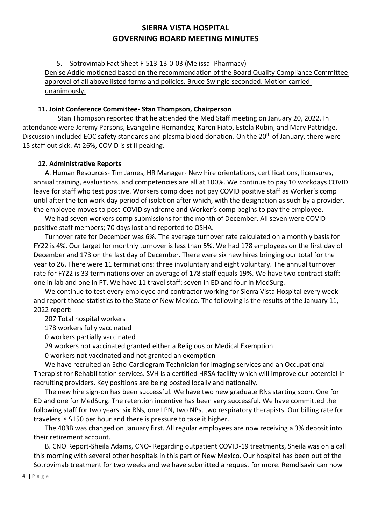5. Sotrovimab Fact Sheet F-513-13-0-03 (Melissa -Pharmacy) Denise Addie motioned based on the recommendation of the Board Quality Compliance Committee approval of all above listed forms and policies. Bruce Swingle seconded. Motion carried unanimously.

### **11. Joint Conference Committee- Stan Thompson, Chairperson**

Stan Thompson reported that he attended the Med Staff meeting on January 20, 2022. In attendance were Jeremy Parsons, Evangeline Hernandez, Karen Fiato, Estela Rubin, and Mary Pattridge. Discussion included EOC safety standards and plasma blood donation. On the 20<sup>th</sup> of January, there were 15 staff out sick. At 26%, COVID is still peaking.

### **12. Administrative Reports**

A. Human Resources- Tim James, HR Manager- New hire orientations, certifications, licensures, annual training, evaluations, and competencies are all at 100%. We continue to pay 10 workdays COVID leave for staff who test positive. Workers comp does not pay COVID positive staff as Worker's comp until after the ten work-day period of isolation after which, with the designation as such by a provider, the employee moves to post-COVID syndrome and Worker's comp begins to pay the employee.

We had seven workers comp submissions for the month of December. All seven were COVID positive staff members; 70 days lost and reported to OSHA.

Turnover rate for December was 6%. The average turnover rate calculated on a monthly basis for FY22 is 4%. Our target for monthly turnover is less than 5%. We had 178 employees on the first day of December and 173 on the last day of December. There were six new hires bringing our total for the year to 26. There were 11 terminations: three involuntary and eight voluntary. The annual turnover rate for FY22 is 33 terminations over an average of 178 staff equals 19%. We have two contract staff: one in lab and one in PT. We have 11 travel staff: seven in ED and four in MedSurg.

We continue to test every employee and contractor working for Sierra Vista Hospital every week and report those statistics to the State of New Mexico. The following is the results of the January 11, 2022 report:

207 Total hospital workers

178 workers fully vaccinated

0 workers partially vaccinated

29 workers not vaccinated granted either a Religious or Medical Exemption

0 workers not vaccinated and not granted an exemption

We have recruited an Echo-Cardiogram Technician for Imaging services and an Occupational Therapist for Rehabilitation services. SVH is a certified HRSA facility which will improve our potential in recruiting providers. Key positions are being posted locally and nationally.

The new hire sign-on has been successful. We have two new graduate RNs starting soon. One for ED and one for MedSurg. The retention incentive has been very successful. We have committed the following staff for two years: six RNs, one LPN, two NPs, two respiratory therapists. Our billing rate for travelers is \$150 per hour and there is pressure to take it higher.

The 403B was changed on January first. All regular employees are now receiving a 3% deposit into their retirement account.

B. CNO Report-Sheila Adams, CNO- Regarding outpatient COVID-19 treatments, Sheila was on a call this morning with several other hospitals in this part of New Mexico. Our hospital has been out of the Sotrovimab treatment for two weeks and we have submitted a request for more. Remdisavir can now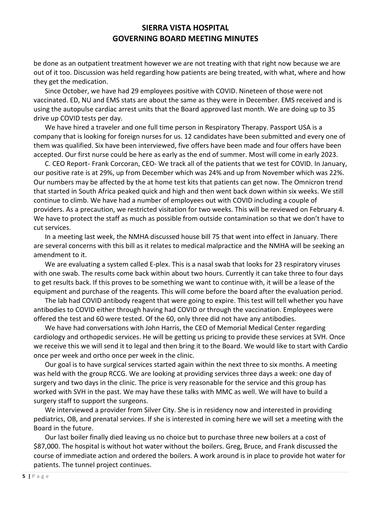be done as an outpatient treatment however we are not treating with that right now because we are out of it too. Discussion was held regarding how patients are being treated, with what, where and how they get the medication.

Since October, we have had 29 employees positive with COVID. Nineteen of those were not vaccinated. ED, NU and EMS stats are about the same as they were in December. EMS received and is using the autopulse cardiac arrest units that the Board approved last month. We are doing up to 35 drive up COVID tests per day.

We have hired a traveler and one full time person in Respiratory Therapy. Passport USA is a company that is looking for foreign nurses for us. 12 candidates have been submitted and every one of them was qualified. Six have been interviewed, five offers have been made and four offers have been accepted. Our first nurse could be here as early as the end of summer. Most will come in early 2023.

C. CEO Report- Frank Corcoran, CEO- We track all of the patients that we test for COVID. In January, our positive rate is at 29%, up from December which was 24% and up from November which was 22%. Our numbers may be affected by the at home test kits that patients can get now. The Omnicron trend that started in South Africa peaked quick and high and then went back down within six weeks. We still continue to climb. We have had a number of employees out with COVID including a couple of providers. As a precaution, we restricted visitation for two weeks. This will be reviewed on February 4. We have to protect the staff as much as possible from outside contamination so that we don't have to cut services.

In a meeting last week, the NMHA discussed house bill 75 that went into effect in January. There are several concerns with this bill as it relates to medical malpractice and the NMHA will be seeking an amendment to it.

We are evaluating a system called E-plex. This is a nasal swab that looks for 23 respiratory viruses with one swab. The results come back within about two hours. Currently it can take three to four days to get results back. If this proves to be something we want to continue with, it will be a lease of the equipment and purchase of the reagents. This will come before the board after the evaluation period.

The lab had COVID antibody reagent that were going to expire. This test will tell whether you have antibodies to COVID either through having had COVID or through the vaccination. Employees were offered the test and 60 were tested. Of the 60, only three did not have any antibodies.

We have had conversations with John Harris, the CEO of Memorial Medical Center regarding cardiology and orthopedic services. He will be getting us pricing to provide these services at SVH. Once we receive this we will send it to legal and then bring it to the Board. We would like to start with Cardio once per week and ortho once per week in the clinic.

Our goal is to have surgical services started again within the next three to six months. A meeting was held with the group RCCG. We are looking at providing services three days a week: one day of surgery and two days in the clinic. The price is very reasonable for the service and this group has worked with SVH in the past. We may have these talks with MMC as well. We will have to build a surgery staff to support the surgeons.

We interviewed a provider from Silver City. She is in residency now and interested in providing pediatrics, OB, and prenatal services. If she is interested in coming here we will set a meeting with the Board in the future.

Our last boiler finally died leaving us no choice but to purchase three new boilers at a cost of \$87,000. The hospital is without hot water without the boilers. Greg, Bruce, and Frank discussed the course of immediate action and ordered the boilers. A work around is in place to provide hot water for patients. The tunnel project continues.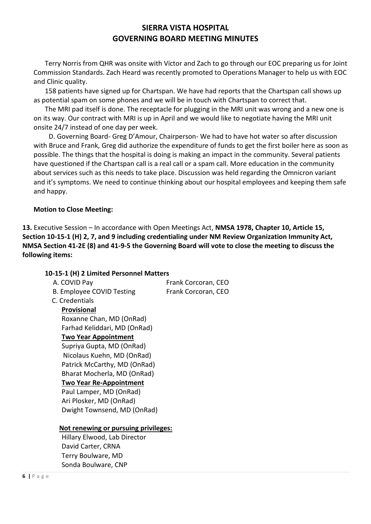Terry Norris from QHR was onsite with Victor and Zach to go through our EOC preparing us for Joint Commission Standards. Zach Heard was recently promoted to Operations Manager to help us with EOC and Clinic quality.

158 patients have signed up for Chartspan. We have had reports that the Chartspan call shows up as potential spam on some phones and we will be in touch with Chartspan to correct that.

The MRI pad itself is done. The receptacle for plugging in the MRI unit was wrong and a new one is on its way. Our contract with MRI is up in April and we would like to negotiate having the MRI unit onsite 24/7 instead of one day per week.

 D. Governing Board- Greg D'Amour, Chairperson- We had to have hot water so after discussion with Bruce and Frank, Greg did authorize the expenditure of funds to get the first boiler here as soon as possible. The things that the hospital is doing is making an impact in the community. Several patients have questioned if the Chartspan call is a real call or a spam call. More education in the community about services such as this needs to take place. Discussion was held regarding the Omnicron variant and it's symptoms. We need to continue thinking about our hospital employees and keeping them safe and happy.

## **Motion to Close Meeting:**

**13.** Executive Session – In accordance with Open Meetings Act, **NMSA 1978, Chapter 10, Article 15, Section 10-15-1 (H) 2, 7, and 9 including credentialing under NM Review Organization Immunity Act, NMSA Section 41-2E (8) and 41-9-5 the Governing Board will vote to close the meeting to discuss the following items:** 

#### **10-15-1 (H) 2 Limited Personnel Matters**

| A. COVID Pay                         | Frank Corcoran, CEO |
|--------------------------------------|---------------------|
| <b>B. Employee COVID Testing</b>     | Frank Corcoran, CEO |
| C. Credentials                       |                     |
| <b>Provisional</b>                   |                     |
| Roxanne Chan, MD (OnRad)             |                     |
| Farhad Keliddari, MD (OnRad)         |                     |
| <b>Two Year Appointment</b>          |                     |
| Supriya Gupta, MD (OnRad)            |                     |
| Nicolaus Kuehn, MD (OnRad)           |                     |
| Patrick McCarthy, MD (OnRad)         |                     |
| Bharat Mocherla, MD (OnRad)          |                     |
| <b>Two Year Re-Appointment</b>       |                     |
| Paul Lamper, MD (OnRad)              |                     |
| Ari Plosker, MD (OnRad)              |                     |
| Dwight Townsend, MD (OnRad)          |                     |
|                                      |                     |
| Not renewing or pursuing privileges: |                     |
| Hillary Elwood, Lab Director         |                     |
| David Carter, CRNA                   |                     |
| Terry Boulware, MD                   |                     |
| Sonda Boulware, CNP                  |                     |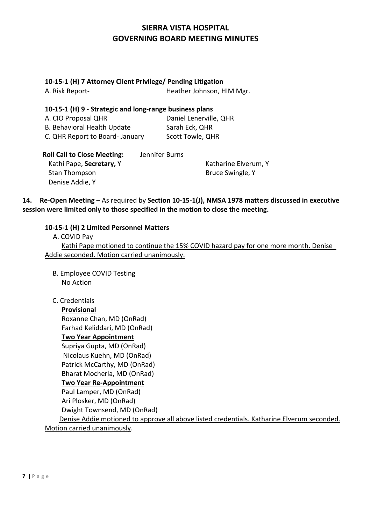### **10-15-1 (H) 7 Attorney Client Privilege/ Pending Litigation**

| A. Risk Report-                                         | Heather Johnson, HIM Mgr. |
|---------------------------------------------------------|---------------------------|
| 10-15-1 (H) 9 - Strategic and long-range business plans |                           |
| A. CIO Proposal QHR                                     | Daniel Lenerville, QHR    |
| B. Behavioral Health Update                             | Sarah Eck, QHR            |
| C. QHR Report to Board- January                         | Scott Towle, QHR          |
|                                                         |                           |

| <b>Roll Call to Close Meeting:</b> | Jennifer Burns |                      |
|------------------------------------|----------------|----------------------|
| Kathi Pape, Secretary, Y           |                | Katharine Elverum, Y |
| Stan Thompson                      |                | Bruce Swingle, Y     |
| Denise Addie, Y                    |                |                      |

**14. Re-Open Meeting** – As required by **Section 10-15-1(J), NMSA 1978 matters discussed in executive session were limited only to those specified in the motion to close the meeting.**

## **10-15-1 (H) 2 Limited Personnel Matters**

| A. COVID Pay                                |                                                                                     |
|---------------------------------------------|-------------------------------------------------------------------------------------|
|                                             | Kathi Pape motioned to continue the 15% COVID hazard pay for one more month. Denise |
| Addie seconded. Motion carried unanimously. |                                                                                     |

 B. Employee COVID Testing No Action

## C. Credentials

**Provisional**

Roxanne Chan, MD (OnRad)

 Farhad Keliddari, MD (OnRad) **Two Year Appointment**

Supriya Gupta, MD (OnRad)

Nicolaus Kuehn, MD (OnRad)

Patrick McCarthy, MD (OnRad)

Bharat Mocherla, MD (OnRad)

# **Two Year Re-Appointment**

Paul Lamper, MD (OnRad) Ari Plosker, MD (OnRad)

Dwight Townsend, MD (OnRad)

Denise Addie motioned to approve all above listed credentials. Katharine Elverum seconded. Motion carried unanimously.